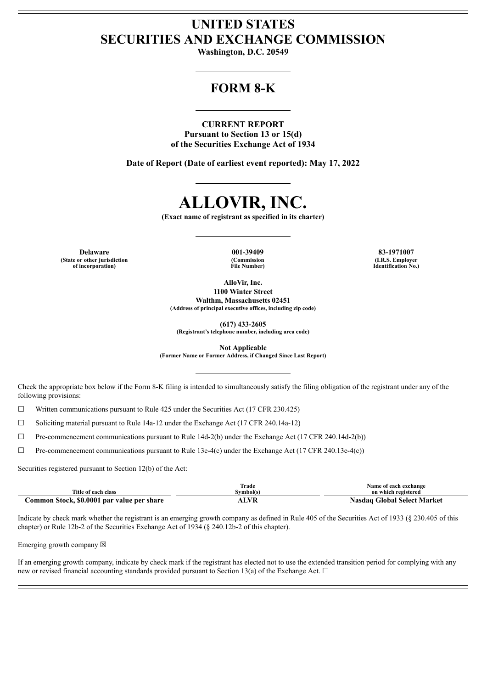# **UNITED STATES SECURITIES AND EXCHANGE COMMISSION**

**Washington, D.C. 20549**

## **FORM 8-K**

## **CURRENT REPORT**

**Pursuant to Section 13 or 15(d) of the Securities Exchange Act of 1934**

**Date of Report (Date of earliest event reported): May 17, 2022**

# **ALLOVIR, INC.**

**(Exact name of registrant as specified in its charter)**

**Delaware 001-39409 83-1971007 (State or other jurisdiction of incorporation)**

**(Commission File Number)**

**(I.R.S. Employer Identification No.)**

**AlloVir, Inc. 1100 Winter Street Walthm, Massachusetts 02451**

**(Address of principal executive offices, including zip code)**

**(617) 433-2605**

**(Registrant's telephone number, including area code)**

**Not Applicable**

**(Former Name or Former Address, if Changed Since Last Report)**

Check the appropriate box below if the Form 8-K filing is intended to simultaneously satisfy the filing obligation of the registrant under any of the following provisions:

 $\Box$  Written communications pursuant to Rule 425 under the Securities Act (17 CFR 230.425)

☐ Soliciting material pursuant to Rule 14a-12 under the Exchange Act (17 CFR 240.14a-12)

 $\Box$  Pre-commencement communications pursuant to Rule 14d-2(b) under the Exchange Act (17 CFR 240.14d-2(b))

☐ Pre-commencement communications pursuant to Rule 13e-4(c) under the Exchange Act (17 CFR 240.13e-4(c))

Securities registered pursuant to Section 12(b) of the Act:

| Title of each class                        | Trade<br>Symbol(s) | Name of each exchange<br>on which registered |
|--------------------------------------------|--------------------|----------------------------------------------|
| Common Stock, \$0.0001 par value per share | WR                 | Nasdag Global Select Market                  |

Indicate by check mark whether the registrant is an emerging growth company as defined in Rule 405 of the Securities Act of 1933 (§ 230.405 of this chapter) or Rule 12b-2 of the Securities Exchange Act of 1934 (§ 240.12b-2 of this chapter).

Emerging growth company  $\boxtimes$ 

If an emerging growth company, indicate by check mark if the registrant has elected not to use the extended transition period for complying with any new or revised financial accounting standards provided pursuant to Section 13(a) of the Exchange Act.  $\Box$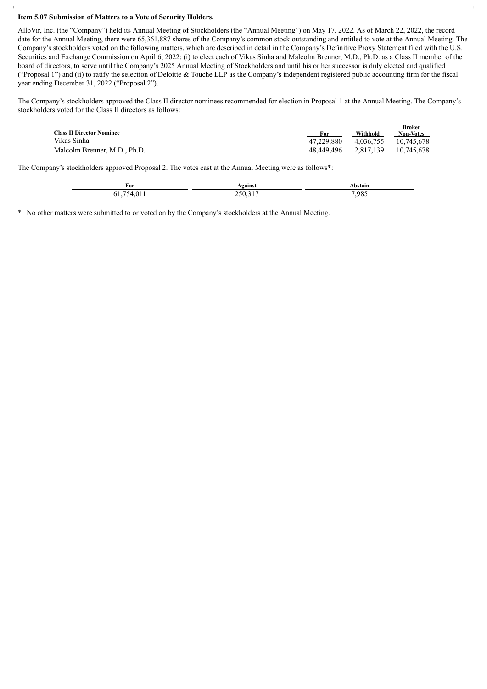### **Item 5.07 Submission of Matters to a Vote of Security Holders.**

AlloVir, Inc. (the "Company") held its Annual Meeting of Stockholders (the "Annual Meeting") on May 17, 2022. As of March 22, 2022, the record date for the Annual Meeting, there were 65,361,887 shares of the Company's common stock outstanding and entitled to vote at the Annual Meeting. The Company's stockholders voted on the following matters, which are described in detail in the Company's Definitive Proxy Statement filed with the U.S. Securities and Exchange Commission on April 6, 2022: (i) to elect each of Vikas Sinha and Malcolm Brenner, M.D., Ph.D. as a Class II member of the board of directors, to serve until the Company's 2025 Annual Meeting of Stockholders and until his or her successor is duly elected and qualified ("Proposal 1") and (ii) to ratify the selection of Deloitte  $&$  Touche LLP as the Company's independent registered public accounting firm for the fiscal year ending December 31, 2022 ("Proposal 2").

The Company's stockholders approved the Class II director nominees recommended for election in Proposal 1 at the Annual Meeting. The Company's stockholders voted for the Class II directors as follows:

| <b>Class II Director Nominee</b> | For        | Withhold  | <b>Broker</b><br><b>Non-Votes</b> |
|----------------------------------|------------|-----------|-----------------------------------|
| Vikas Sinha                      | 47.229.880 | 4.036.755 | 10.745.678                        |
| Malcolm Brenner, M.D., Ph.D.     | 48.449.496 | 2.817.139 | 10.745.678                        |

The Company's stockholders approved Proposal 2. The votes cast at the Annual Meeting were as follows\*:

| For                 | ⊾gainst     | Abstain |
|---------------------|-------------|---------|
| $01_1$<br>۵4<br>01, | וור<br>-- - | 7,985   |

\* No other matters were submitted to or voted on by the Company's stockholders at the Annual Meeting.